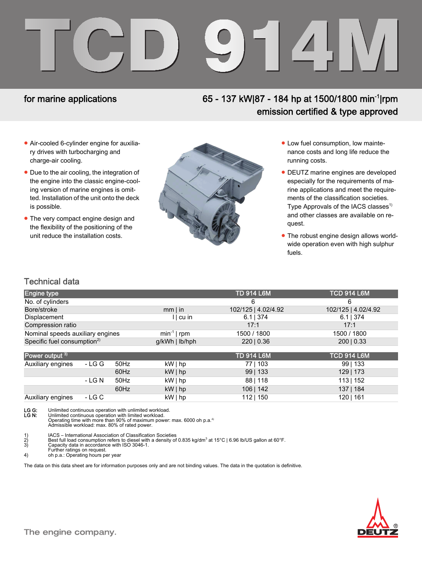# TCD 914M

# for marine applications

# 65 - 137 kW|87 - 184 hp at 1500/1800 min-1|rpm emission certified & type approved

- Air-cooled 6-cylinder engine for auxiliary drives with turbocharging and charge-air cooling.
- Due to the air cooling, the integration of the engine into the classic engine-cooling version of marine engines is omitted. Installation of the unit onto the deck is possible.
- The very compact engine design and the flexibility of the positioning of the unit reduce the installation costs.



- Low fuel consumption, low maintenance costs and long life reduce the running costs.
- DEUTZ marine engines are developed especially for the requirements of marine applications and meet the requirements of the classification societies. Type Approvals of the IACS classes<sup>1)</sup> and other classes are available on request.
- The robust engine design allows worldwide operation even with high sulphur fuels.

### Technical data

| <b>Engine type</b>                      |        |      |                  | <b>TD 914 L6M</b>   | <b>TCD 914 L6M</b>  |
|-----------------------------------------|--------|------|------------------|---------------------|---------------------|
| No. of cylinders                        |        |      |                  | 6                   | 6                   |
| Bore/stroke                             |        |      | $mm$   in        | 102/125   4.02/4.92 | 102/125   4.02/4.92 |
| Displacement                            |        |      | cu               | $6.1$   374         | $6.1$   374         |
| Compression ratio                       |        |      |                  | 17:1                | 17:1                |
| Nominal speeds auxiliary engines        |        |      | $min^{-1}$   rpm | 1500 / 1800         | 1500 / 1800         |
| Specific fuel consumption <sup>2)</sup> |        |      | $g/kWh$   lb/hph | 220   0.36          | 200   0.33          |
| Power output 3)                         |        |      |                  | <b>TD 914 L6M</b>   | TCD 914 L6M         |
| Auxiliary engines                       | - LG G | 50Hz | kW hp            | 77   103            | $99$   133          |
|                                         |        | 60Hz | $kW $ hp         | 99 133              | 129   173           |
|                                         | - LG N | 50Hz | kW hp            | 88 118              | 113   152           |
|                                         |        | 60Hz | $kW $ hp         | 106   142           | 137   184           |
| Auxiliary engines                       | - LG C |      | $kW \mid hp$     | 112   150           | 120   161           |

LG G: Unlimited continuous operation with unlimited workload.<br>LG N: Unlimited continuous operation with limited workload.

**LG N:** Unlimited continuous operation with limited workload.<br>Operating time with more than 90% of maximum power: max. 6000 oh p.a.<sup>4)</sup><br>Admissible workload: max. 80% of rated power.

1) IACS – International Association of Classification Societies<br>
2) Best full load consumption refers to diesel with a density of<br>
3) Capacity data in accordance with ISO 3046-1. 2) Best full load consumption refers to diesel with a density of 0.835 kg/dm<sup>3</sup> at 15°C | 6.96 lb/US gallon at 60°F.<br>3) Capacity data in accordance with ISO 3046-1.

Further ratings on request. 4) oh p.a.: Operating hours per year

The data on this data sheet are for information purposes only and are not binding values. The data in the quotation is definitive.